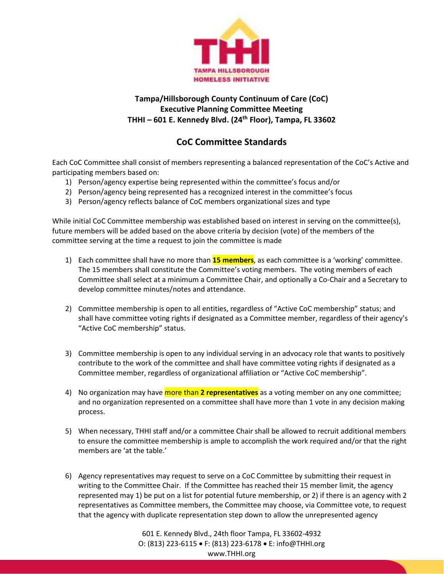

## **Tampa/Hillsborough County Continuum of Care (CoC) Executive Planning Committee Meeting THHI – 601 E. Kennedy Blvd. (24th Floor), Tampa, FL 33602**

## **CoC Committee Standards**

Each CoC Committee shall consist of members representing a balanced representation of the CoC's Active and participating members based on:

- 1) Person/agency expertise being represented within the committee's focus and/or
- 2) Person/agency being represented has a recognized interest in the committee's focus
- 3) Person/agency reflects balance of CoC members organizational sizes and type

While initial CoC Committee membership was established based on interest in serving on the committee(s), future members will be added based on the above criteria by decision (vote) of the members of the committee serving at the time a request to join the committee is made

- 1) Each committee shall have no more than **15 members**, as each committee is a 'working' committee. The 15 members shall constitute the Committee's voting members. The voting members of each Committee shall select at a minimum a Committee Chair, and optionally a Co-Chair and a Secretary to develop committee minutes/notes and attendance.
- 2) Committee membership is open to all entities, regardless of "Active CoC membership" status; and shall have committee voting rights if designated as a Committee member, regardless of their agency's "Active CoC membership" status.
- 3) Committee membership is open to any individual serving in an advocacy role that wants to positively contribute to the work of the committee and shall have committee voting rights if designated as a Committee member, regardless of organizational affiliation or "Active CoC membership".
- 4) No organization may have more than **2 representatives** as a voting member on any one committee; and no organization represented on a committee shall have more than 1 vote in any decision making process.
- 5) When necessary, THHI staff and/or a committee Chair shall be allowed to recruit additional members to ensure the committee membership is ample to accomplish the work required and/or that the right members are 'at the table.'
- 6) Agency representatives may request to serve on a CoC Committee by submitting their request in writing to the Committee Chair. If the Committee has reached their 15 member limit, the agency represented may 1) be put on a list for potential future membership, or 2) if there is an agency with 2 representatives as Committee members, the Committee may choose, via Committee vote, to request that the agency with duplicate representation step down to allow the unrepresented agency

601 E. Kennedy Blvd., 24th floor Tampa, FL 33602-4932 O: (813) 223-6115 • F: (813) 223-6178 • E: info@THHI.org www.THHI.org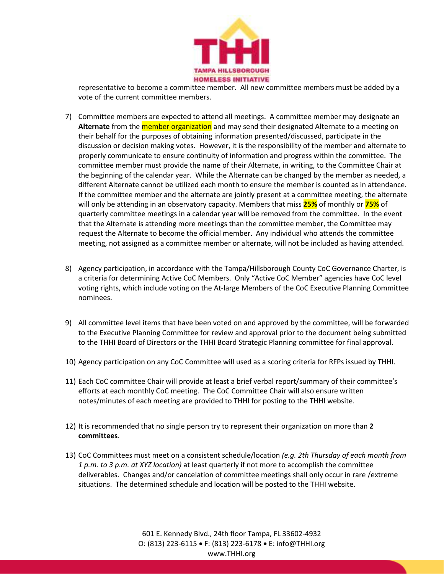

representative to become a committee member. All new committee members must be added by a vote of the current committee members.

- 7) Committee members are expected to attend all meetings. A committee member may designate an **Alternate** from the member organization and may send their designated Alternate to a meeting on their behalf for the purposes of obtaining information presented/discussed, participate in the discussion or decision making votes. However, it is the responsibility of the member and alternate to properly communicate to ensure continuity of information and progress within the committee. The committee member must provide the name of their Alternate, in writing, to the Committee Chair at the beginning of the calendar year. While the Alternate can be changed by the member as needed, a different Alternate cannot be utilized each month to ensure the member is counted as in attendance. If the committee member and the alternate are jointly present at a committee meeting, the alternate will only be attending in an observatory capacity. Members that miss **25%** of monthly or **75%** of quarterly committee meetings in a calendar year will be removed from the committee. In the event that the Alternate is attending more meetings than the committee member, the Committee may request the Alternate to become the official member. Any individual who attends the committee meeting, not assigned as a committee member or alternate, will not be included as having attended.
- 8) Agency participation, in accordance with the Tampa/Hillsborough County CoC Governance Charter, is a criteria for determining Active CoC Members. Only "Active CoC Member" agencies have CoC level voting rights, which include voting on the At-large Members of the CoC Executive Planning Committee nominees.
- 9) All committee level items that have been voted on and approved by the committee, will be forwarded to the Executive Planning Committee for review and approval prior to the document being submitted to the THHI Board of Directors or the THHI Board Strategic Planning committee for final approval.
- 10) Agency participation on any CoC Committee will used as a scoring criteria for RFPs issued by THHI.
- 11) Each CoC committee Chair will provide at least a brief verbal report/summary of their committee's efforts at each monthly CoC meeting. The CoC Committee Chair will also ensure written notes/minutes of each meeting are provided to THHI for posting to the THHI website.
- 12) It is recommended that no single person try to represent their organization on more than **2 committees**.
- 13) CoC Committees must meet on a consistent schedule/location *(e.g. 2th Thursday of each month from 1 p.m. to 3 p.m. at XYZ location)* at least quarterly if not more to accomplish the committee deliverables. Changes and/or cancelation of committee meetings shall only occur in rare /extreme situations. The determined schedule and location will be posted to the THHI website.